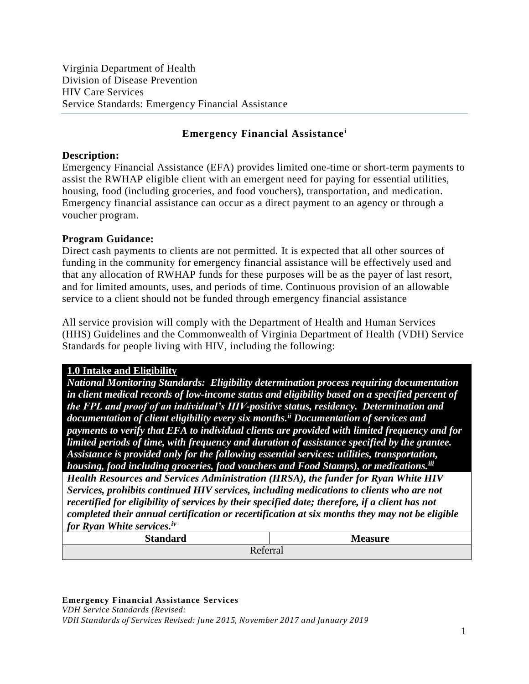## **Emergency Financial Assistance<sup>i</sup>**

#### **Description:**

Emergency Financial Assistance (EFA) provides limited one-time or short-term payments to assist the RWHAP eligible client with an emergent need for paying for essential utilities, housing, food (including groceries, and food vouchers), transportation, and medication. Emergency financial assistance can occur as a direct payment to an agency or through a voucher program.

#### **Program Guidance:**

Direct cash payments to clients are not permitted. It is expected that all other sources of funding in the community for emergency financial assistance will be effectively used and that any allocation of RWHAP funds for these purposes will be as the payer of last resort, and for limited amounts, uses, and periods of time. Continuous provision of an allowable service to a client should not be funded through emergency financial assistance

All service provision will comply with the Department of Health and Human Services (HHS) Guidelines and the Commonwealth of Virginia Department of Health (VDH) Service Standards for people living with HIV, including the following:

## **1.0 Intake and Eligibility**

*National Monitoring Standards: Eligibility determination process requiring documentation in client medical records of low-income status and eligibility based on a specified percent of the FPL and proof of an individual's HIV-positive status, residency. Determination and documentation of client eligibility every six months. ii Documentation of services and payments to verify that EFA to individual clients are provided with limited frequency and for limited periods of time, with frequency and duration of assistance specified by the grantee. Assistance is provided only for the following essential services: utilities, transportation, housing, food including groceries, food vouchers and Food Stamps), or medications.iii*

*Health Resources and Services Administration (HRSA), the funder for Ryan White HIV Services, prohibits continued HIV services, including medications to clients who are not recertified for eligibility of services by their specified date; therefore, if a client has not completed their annual certification or recertification at six months they may not be eligible for Ryan White services.iv*

| Tot Illuit Without Softwood, |                |
|------------------------------|----------------|
| <b>Standard</b>              | <b>Measure</b> |
| Referral                     |                |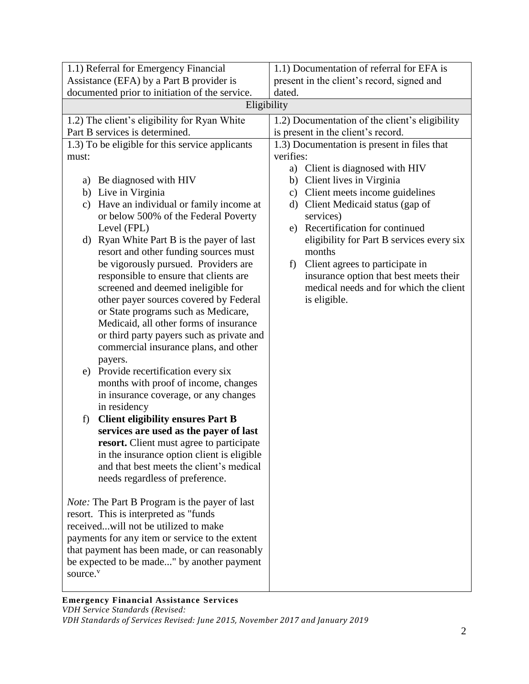| 1.1) Referral for Emergency Financial                                                         | 1.1) Documentation of referral for EFA is                                        |
|-----------------------------------------------------------------------------------------------|----------------------------------------------------------------------------------|
| Assistance (EFA) by a Part B provider is                                                      | present in the client's record, signed and                                       |
| documented prior to initiation of the service.                                                | dated.                                                                           |
| Eligibility                                                                                   |                                                                                  |
| 1.2) The client's eligibility for Ryan White                                                  | 1.2) Documentation of the client's eligibility                                   |
| Part B services is determined.                                                                | is present in the client's record.                                               |
| 1.3) To be eligible for this service applicants                                               | 1.3) Documentation is present in files that                                      |
| must:                                                                                         | verifies:                                                                        |
|                                                                                               | a) Client is diagnosed with HIV                                                  |
| a) Be diagnosed with HIV                                                                      | b) Client lives in Virginia                                                      |
| b) Live in Virginia                                                                           | Client meets income guidelines<br>$\mathbf{c})$                                  |
| Have an individual or family income at<br>$\mathbf{c})$                                       | d) Client Medicaid status (gap of                                                |
| or below 500% of the Federal Poverty                                                          | services)                                                                        |
| Level (FPL)                                                                                   | e) Recertification for continued                                                 |
| d) Ryan White Part B is the payer of last                                                     | eligibility for Part B services every six                                        |
| resort and other funding sources must                                                         | months                                                                           |
| be vigorously pursued. Providers are                                                          | Client agrees to participate in<br>f)                                            |
| responsible to ensure that clients are<br>screened and deemed ineligible for                  | insurance option that best meets their<br>medical needs and for which the client |
| other payer sources covered by Federal                                                        | is eligible.                                                                     |
| or State programs such as Medicare,                                                           |                                                                                  |
| Medicaid, all other forms of insurance                                                        |                                                                                  |
| or third party payers such as private and                                                     |                                                                                  |
| commercial insurance plans, and other                                                         |                                                                                  |
| payers.                                                                                       |                                                                                  |
| e) Provide recertification every six                                                          |                                                                                  |
| months with proof of income, changes                                                          |                                                                                  |
| in insurance coverage, or any changes                                                         |                                                                                  |
| in residency                                                                                  |                                                                                  |
| <b>Client eligibility ensures Part B</b><br>f)                                                |                                                                                  |
| services are used as the payer of last                                                        |                                                                                  |
| resort. Client must agree to participate                                                      |                                                                                  |
| in the insurance option client is eligible.                                                   |                                                                                  |
| and that best meets the client's medical                                                      |                                                                                  |
| needs regardless of preference.                                                               |                                                                                  |
|                                                                                               |                                                                                  |
| <i>Note:</i> The Part B Program is the payer of last<br>resort. This is interpreted as "funds |                                                                                  |
| receivedwill not be utilized to make                                                          |                                                                                  |
| payments for any item or service to the extent                                                |                                                                                  |
| that payment has been made, or can reasonably                                                 |                                                                                  |
| be expected to be made" by another payment                                                    |                                                                                  |
| source. <sup>v</sup>                                                                          |                                                                                  |
|                                                                                               |                                                                                  |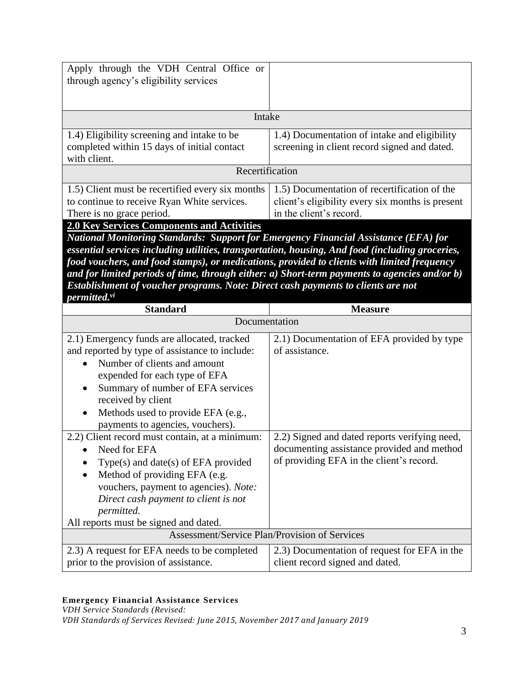| Apply through the VDH Central Office or<br>through agency's eligibility services                                                                                                              |                                                                                                                             |  |
|-----------------------------------------------------------------------------------------------------------------------------------------------------------------------------------------------|-----------------------------------------------------------------------------------------------------------------------------|--|
| Intake                                                                                                                                                                                        |                                                                                                                             |  |
| 1.4) Eligibility screening and intake to be<br>completed within 15 days of initial contact<br>with client.                                                                                    | 1.4) Documentation of intake and eligibility<br>screening in client record signed and dated.                                |  |
| Recertification                                                                                                                                                                               |                                                                                                                             |  |
| 1.5) Client must be recertified every six months<br>to continue to receive Ryan White services.<br>There is no grace period.                                                                  | 1.5) Documentation of recertification of the<br>client's eligibility every six months is present<br>in the client's record. |  |
| <b>2.0 Key Services Components and Activities</b>                                                                                                                                             |                                                                                                                             |  |
| <b>National Monitoring Standards: Support for Emergency Financial Assistance (EFA) for</b><br>essential services including utilities, transportation, housing, And food (including groceries, |                                                                                                                             |  |

*food vouchers, and food stamps), or medications, provided to clients with limited frequency and for limited periods of time, through either: a) Short-term payments to agencies and/or b) Establishment of voucher programs. Note: Direct cash payments to clients are not permitted.vi*

| <b>Standard</b>                                      | <b>Measure</b>                                |  |
|------------------------------------------------------|-----------------------------------------------|--|
| Documentation                                        |                                               |  |
| 2.1) Emergency funds are allocated, tracked          | 2.1) Documentation of EFA provided by type    |  |
| and reported by type of assistance to include:       | of assistance.                                |  |
| Number of clients and amount                         |                                               |  |
| expended for each type of EFA                        |                                               |  |
| Summary of number of EFA services                    |                                               |  |
| received by client                                   |                                               |  |
| Methods used to provide EFA (e.g.,                   |                                               |  |
| payments to agencies, vouchers).                     |                                               |  |
| 2.2) Client record must contain, at a minimum:       | 2.2) Signed and dated reports verifying need, |  |
| Need for EFA                                         | documenting assistance provided and method    |  |
| Type(s) and date(s) of EFA provided                  | of providing EFA in the client's record.      |  |
| Method of providing EFA (e.g.                        |                                               |  |
| vouchers, payment to agencies). Note:                |                                               |  |
| Direct cash payment to client is not                 |                                               |  |
| permitted.                                           |                                               |  |
| All reports must be signed and dated.                |                                               |  |
| <b>Assessment/Service Plan/Provision of Services</b> |                                               |  |
| 2.3) A request for EFA needs to be completed         | 2.3) Documentation of request for EFA in the  |  |
| prior to the provision of assistance.                | client record signed and dated.               |  |

#### **Emergency Financial Assistance Services**

*VDH Service Standards (Revised:*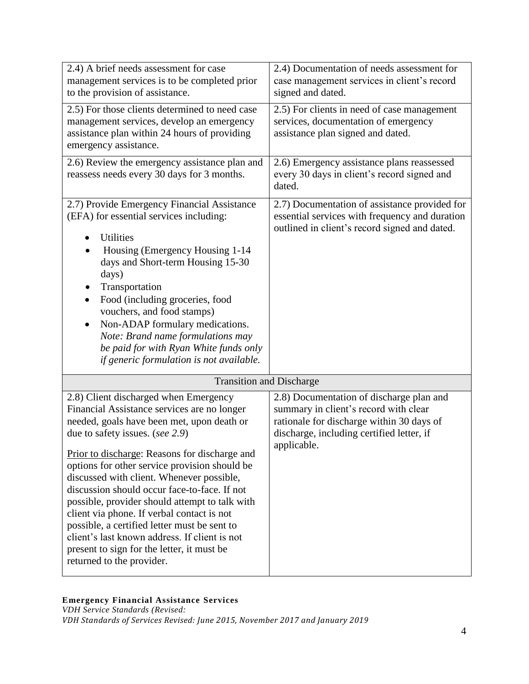| 2.4) A brief needs assessment for case<br>management services is to be completed prior<br>to the provision of assistance.                                                                                                                                                                                                                                                                                                                                                                                                                                                                                                                        | 2.4) Documentation of needs assessment for<br>case management services in client's record<br>signed and dated.                                                                             |  |
|--------------------------------------------------------------------------------------------------------------------------------------------------------------------------------------------------------------------------------------------------------------------------------------------------------------------------------------------------------------------------------------------------------------------------------------------------------------------------------------------------------------------------------------------------------------------------------------------------------------------------------------------------|--------------------------------------------------------------------------------------------------------------------------------------------------------------------------------------------|--|
| 2.5) For those clients determined to need case<br>management services, develop an emergency<br>assistance plan within 24 hours of providing<br>emergency assistance.                                                                                                                                                                                                                                                                                                                                                                                                                                                                             | 2.5) For clients in need of case management<br>services, documentation of emergency<br>assistance plan signed and dated.                                                                   |  |
| 2.6) Review the emergency assistance plan and<br>reassess needs every 30 days for 3 months.                                                                                                                                                                                                                                                                                                                                                                                                                                                                                                                                                      | 2.6) Emergency assistance plans reassessed<br>every 30 days in client's record signed and<br>dated.                                                                                        |  |
| 2.7) Provide Emergency Financial Assistance<br>(EFA) for essential services including:<br><b>Utilities</b><br>Housing (Emergency Housing 1-14<br>days and Short-term Housing 15-30<br>days)<br>Transportation<br>Food (including groceries, food<br>$\bullet$<br>vouchers, and food stamps)<br>Non-ADAP formulary medications.<br>Note: Brand name formulations may<br>be paid for with Ryan White funds only<br>if generic formulation is not available.                                                                                                                                                                                        | 2.7) Documentation of assistance provided for<br>essential services with frequency and duration<br>outlined in client's record signed and dated.                                           |  |
| <b>Transition and Discharge</b>                                                                                                                                                                                                                                                                                                                                                                                                                                                                                                                                                                                                                  |                                                                                                                                                                                            |  |
| 2.8) Client discharged when Emergency<br>Financial Assistance services are no longer<br>needed, goals have been met, upon death or<br>due to safety issues. (see 2.9)<br>Prior to discharge: Reasons for discharge and<br>options for other service provision should be<br>discussed with client. Whenever possible,<br>discussion should occur face-to-face. If not<br>possible, provider should attempt to talk with<br>client via phone. If verbal contact is not<br>possible, a certified letter must be sent to<br>client's last known address. If client is not<br>present to sign for the letter, it must be<br>returned to the provider. | 2.8) Documentation of discharge plan and<br>summary in client's record with clear<br>rationale for discharge within 30 days of<br>discharge, including certified letter, if<br>applicable. |  |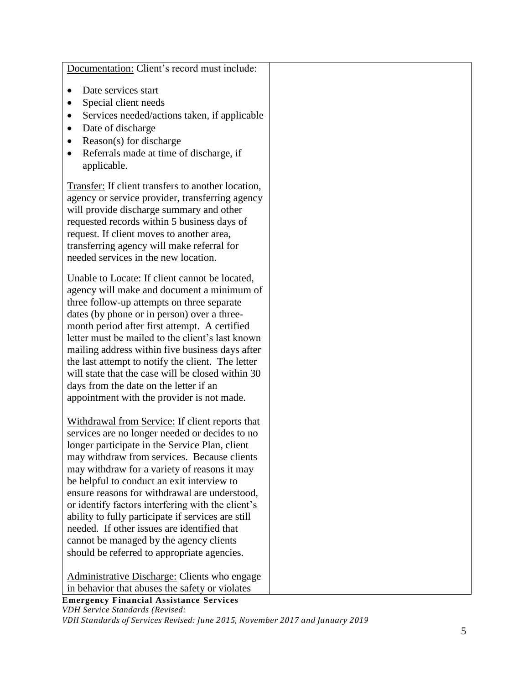| Documentation: Client's record must include:              |  |
|-----------------------------------------------------------|--|
| Date services start<br>$\bullet$                          |  |
| Special client needs                                      |  |
| Services needed/actions taken, if applicable<br>$\bullet$ |  |
| Date of discharge<br>$\bullet$                            |  |
| Reason(s) for discharge<br>$\bullet$                      |  |
| Referrals made at time of discharge, if<br>$\bullet$      |  |
| applicable.                                               |  |
|                                                           |  |
| Transfer: If client transfers to another location,        |  |
| agency or service provider, transferring agency           |  |
| will provide discharge summary and other                  |  |
| requested records within 5 business days of               |  |
| request. If client moves to another area,                 |  |
| transferring agency will make referral for                |  |
| needed services in the new location.                      |  |
| Unable to Locate: If client cannot be located,            |  |
| agency will make and document a minimum of                |  |
| three follow-up attempts on three separate                |  |
| dates (by phone or in person) over a three-               |  |
| month period after first attempt. A certified             |  |
| letter must be mailed to the client's last known          |  |
| mailing address within five business days after           |  |
| the last attempt to notify the client. The letter         |  |
| will state that the case will be closed within 30         |  |
| days from the date on the letter if an                    |  |
| appointment with the provider is not made.                |  |
| Withdrawal from Service: If client reports that           |  |
| services are no longer needed or decides to no            |  |
| longer participate in the Service Plan, client            |  |
| may withdraw from services. Because clients               |  |
| may withdraw for a variety of reasons it may              |  |
| be helpful to conduct an exit interview to                |  |
| ensure reasons for withdrawal are understood,             |  |
| or identify factors interfering with the client's         |  |
| ability to fully participate if services are still        |  |
| needed. If other issues are identified that               |  |
| cannot be managed by the agency clients                   |  |
| should be referred to appropriate agencies.               |  |
| Administrative Discharge: Clients who engage              |  |
| in behavior that abuses the safety or violates            |  |
| <b>Emergency Financial Assistance Services</b>            |  |
| VDH Service Standards (Revised:                           |  |

*VDH Standards of Services Revised: June 2015, November 2017 and January 2019*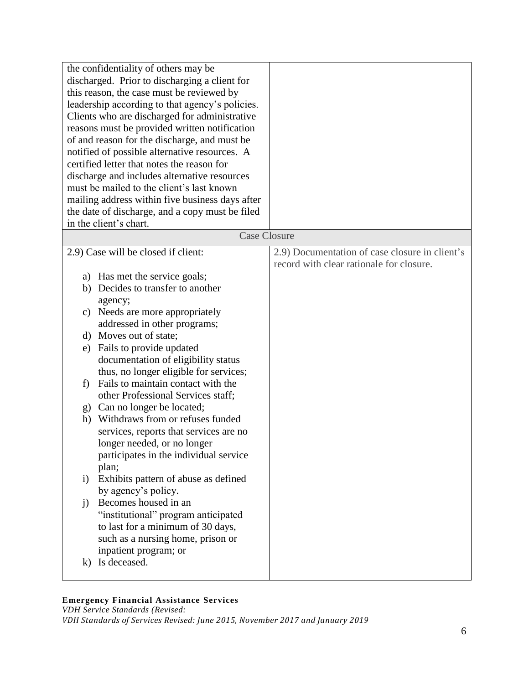| the confidentiality of others may be<br>discharged. Prior to discharging a client for<br>this reason, the case must be reviewed by<br>leadership according to that agency's policies.<br>Clients who are discharged for administrative<br>reasons must be provided written notification<br>of and reason for the discharge, and must be<br>notified of possible alternative resources. A<br>certified letter that notes the reason for<br>discharge and includes alternative resources |                                                                                            |
|----------------------------------------------------------------------------------------------------------------------------------------------------------------------------------------------------------------------------------------------------------------------------------------------------------------------------------------------------------------------------------------------------------------------------------------------------------------------------------------|--------------------------------------------------------------------------------------------|
| must be mailed to the client's last known<br>mailing address within five business days after                                                                                                                                                                                                                                                                                                                                                                                           |                                                                                            |
| the date of discharge, and a copy must be filed                                                                                                                                                                                                                                                                                                                                                                                                                                        |                                                                                            |
| in the client's chart.                                                                                                                                                                                                                                                                                                                                                                                                                                                                 |                                                                                            |
| <b>Case Closure</b>                                                                                                                                                                                                                                                                                                                                                                                                                                                                    |                                                                                            |
| 2.9) Case will be closed if client:                                                                                                                                                                                                                                                                                                                                                                                                                                                    | 2.9) Documentation of case closure in client's<br>record with clear rationale for closure. |
| a) Has met the service goals;                                                                                                                                                                                                                                                                                                                                                                                                                                                          |                                                                                            |
| b) Decides to transfer to another                                                                                                                                                                                                                                                                                                                                                                                                                                                      |                                                                                            |
| agency;                                                                                                                                                                                                                                                                                                                                                                                                                                                                                |                                                                                            |
| Needs are more appropriately<br>c)                                                                                                                                                                                                                                                                                                                                                                                                                                                     |                                                                                            |
| addressed in other programs;                                                                                                                                                                                                                                                                                                                                                                                                                                                           |                                                                                            |
| d) Moves out of state;                                                                                                                                                                                                                                                                                                                                                                                                                                                                 |                                                                                            |
| Fails to provide updated<br>e)                                                                                                                                                                                                                                                                                                                                                                                                                                                         |                                                                                            |
| documentation of eligibility status                                                                                                                                                                                                                                                                                                                                                                                                                                                    |                                                                                            |
| thus, no longer eligible for services;<br>Fails to maintain contact with the<br>f)                                                                                                                                                                                                                                                                                                                                                                                                     |                                                                                            |
| other Professional Services staff;                                                                                                                                                                                                                                                                                                                                                                                                                                                     |                                                                                            |
| Can no longer be located;<br>g)                                                                                                                                                                                                                                                                                                                                                                                                                                                        |                                                                                            |
| Withdraws from or refuses funded<br>h)                                                                                                                                                                                                                                                                                                                                                                                                                                                 |                                                                                            |
| services, reports that services are no                                                                                                                                                                                                                                                                                                                                                                                                                                                 |                                                                                            |
| longer needed, or no longer                                                                                                                                                                                                                                                                                                                                                                                                                                                            |                                                                                            |
| participates in the individual service                                                                                                                                                                                                                                                                                                                                                                                                                                                 |                                                                                            |
| plan;                                                                                                                                                                                                                                                                                                                                                                                                                                                                                  |                                                                                            |
| Exhibits pattern of abuse as defined<br>$\rm i)$                                                                                                                                                                                                                                                                                                                                                                                                                                       |                                                                                            |
| by agency's policy.                                                                                                                                                                                                                                                                                                                                                                                                                                                                    |                                                                                            |
| Becomes housed in an<br>j)                                                                                                                                                                                                                                                                                                                                                                                                                                                             |                                                                                            |
| "institutional" program anticipated                                                                                                                                                                                                                                                                                                                                                                                                                                                    |                                                                                            |
| to last for a minimum of 30 days,                                                                                                                                                                                                                                                                                                                                                                                                                                                      |                                                                                            |
| such as a nursing home, prison or                                                                                                                                                                                                                                                                                                                                                                                                                                                      |                                                                                            |
| inpatient program; or<br>Is deceased.                                                                                                                                                                                                                                                                                                                                                                                                                                                  |                                                                                            |
| k)                                                                                                                                                                                                                                                                                                                                                                                                                                                                                     |                                                                                            |

## **Emergency Financial Assistance Services**

*VDH Service Standards (Revised: VDH Standards of Services Revised: June 2015, November 2017 and January 2019*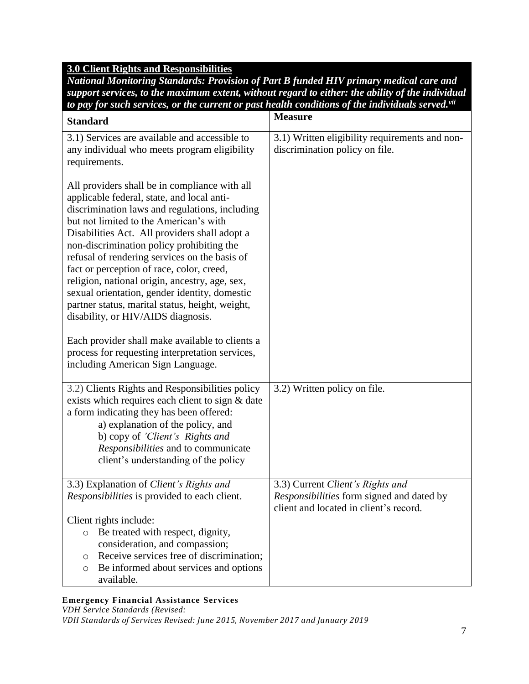# **3.0 Client Rights and Responsibilities**

*National Monitoring Standards: Provision of Part B funded HIV primary medical care and support services, to the maximum extent, without regard to either: the ability of the individual to pay for such services, or the current or past health conditions of the individuals served.vii*

| <b>Standard</b>                                                                                                                                                                                                                                                                                                                                                                                                                                                                                                                                                                 | <b>Measure</b>                                                                                                          |
|---------------------------------------------------------------------------------------------------------------------------------------------------------------------------------------------------------------------------------------------------------------------------------------------------------------------------------------------------------------------------------------------------------------------------------------------------------------------------------------------------------------------------------------------------------------------------------|-------------------------------------------------------------------------------------------------------------------------|
| 3.1) Services are available and accessible to<br>any individual who meets program eligibility<br>requirements.                                                                                                                                                                                                                                                                                                                                                                                                                                                                  | 3.1) Written eligibility requirements and non-<br>discrimination policy on file.                                        |
| All providers shall be in compliance with all<br>applicable federal, state, and local anti-<br>discrimination laws and regulations, including<br>but not limited to the American's with<br>Disabilities Act. All providers shall adopt a<br>non-discrimination policy prohibiting the<br>refusal of rendering services on the basis of<br>fact or perception of race, color, creed,<br>religion, national origin, ancestry, age, sex,<br>sexual orientation, gender identity, domestic<br>partner status, marital status, height, weight,<br>disability, or HIV/AIDS diagnosis. |                                                                                                                         |
| Each provider shall make available to clients a<br>process for requesting interpretation services,<br>including American Sign Language.                                                                                                                                                                                                                                                                                                                                                                                                                                         |                                                                                                                         |
| 3.2) Clients Rights and Responsibilities policy<br>exists which requires each client to sign & date<br>a form indicating they has been offered:<br>a) explanation of the policy, and<br>b) copy of 'Client's Rights and<br>Responsibilities and to communicate<br>client's understanding of the policy                                                                                                                                                                                                                                                                          | 3.2) Written policy on file.                                                                                            |
| 3.3) Explanation of Client's Rights and<br>Responsibilities is provided to each client.                                                                                                                                                                                                                                                                                                                                                                                                                                                                                         | 3.3) Current Client's Rights and<br>Responsibilities form signed and dated by<br>client and located in client's record. |
| Client rights include:<br>Be treated with respect, dignity,<br>$\circ$<br>consideration, and compassion;<br>Receive services free of discrimination;<br>$\circ$<br>Be informed about services and options<br>$\circ$<br>available.                                                                                                                                                                                                                                                                                                                                              |                                                                                                                         |

# **Emergency Financial Assistance Services**

*VDH Service Standards (Revised: VDH Standards of Services Revised: June 2015, November 2017 and January 2019*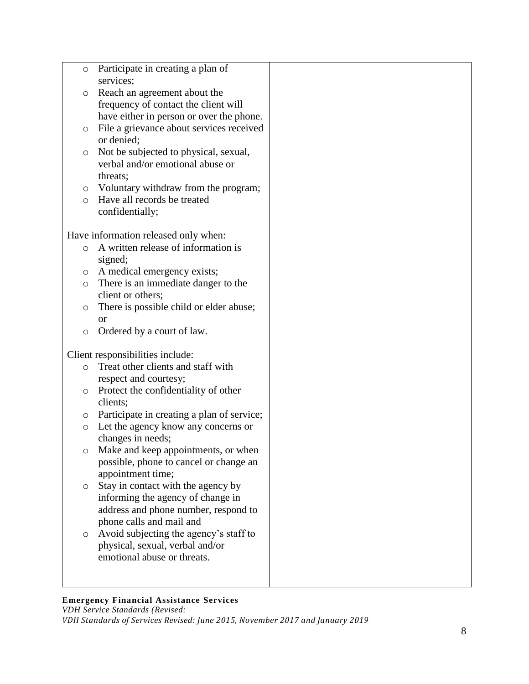| O       | Participate in creating a plan of<br>services; |  |
|---------|------------------------------------------------|--|
| O       | Reach an agreement about the                   |  |
|         | frequency of contact the client will           |  |
|         | have either in person or over the phone.       |  |
| O       | File a grievance about services received       |  |
|         | or denied;                                     |  |
| O       | Not be subjected to physical, sexual,          |  |
|         | verbal and/or emotional abuse or               |  |
|         | threats;                                       |  |
| O       | Voluntary withdraw from the program;           |  |
| $\circ$ | Have all records be treated                    |  |
|         | confidentially;                                |  |
|         |                                                |  |
|         | Have information released only when:           |  |
| $\circ$ | A written release of information is            |  |
|         | signed;                                        |  |
| O       | A medical emergency exists;                    |  |
| O       | There is an immediate danger to the            |  |
|         | client or others;                              |  |
| O       | There is possible child or elder abuse;        |  |
|         | <b>or</b>                                      |  |
| O       | Ordered by a court of law.                     |  |
|         | Client responsibilities include:               |  |
| O       | Treat other clients and staff with             |  |
|         | respect and courtesy;                          |  |
| O       | Protect the confidentiality of other           |  |
|         | clients;                                       |  |
| O       | Participate in creating a plan of service;     |  |
| $\circ$ | Let the agency know any concerns or            |  |
|         | changes in needs;                              |  |
| O       | Make and keep appointments, or when            |  |
|         | possible, phone to cancel or change an         |  |
|         | appointment time;                              |  |
| O       | Stay in contact with the agency by             |  |
|         | informing the agency of change in              |  |
|         | address and phone number, respond to           |  |
|         | phone calls and mail and                       |  |
| $\circ$ | Avoid subjecting the agency's staff to         |  |
|         | physical, sexual, verbal and/or                |  |
|         | emotional abuse or threats.                    |  |
|         |                                                |  |
|         |                                                |  |
|         |                                                |  |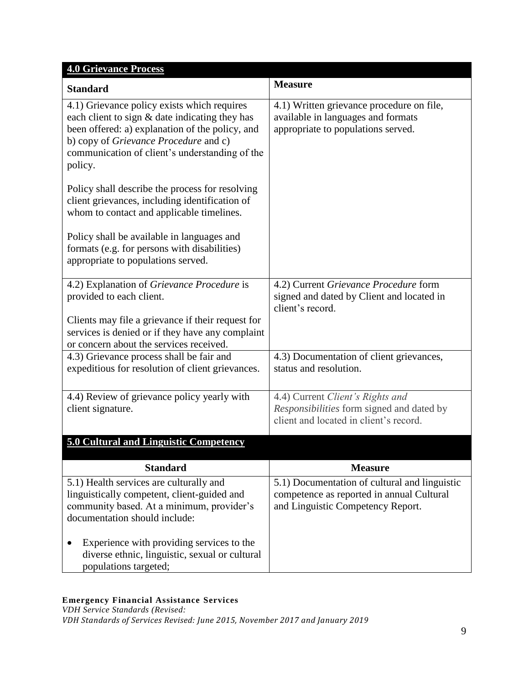| <b>4.0 Grievance Process</b>                                                                                                                                                                                                                           |                                                                                                                                               |
|--------------------------------------------------------------------------------------------------------------------------------------------------------------------------------------------------------------------------------------------------------|-----------------------------------------------------------------------------------------------------------------------------------------------|
| <b>Standard</b>                                                                                                                                                                                                                                        | <b>Measure</b>                                                                                                                                |
| 4.1) Grievance policy exists which requires<br>each client to sign & date indicating they has<br>been offered: a) explanation of the policy, and<br>b) copy of Grievance Procedure and c)<br>communication of client's understanding of the<br>policy. | 4.1) Written grievance procedure on file,<br>available in languages and formats<br>appropriate to populations served.                         |
| Policy shall describe the process for resolving<br>client grievances, including identification of<br>whom to contact and applicable timelines.                                                                                                         |                                                                                                                                               |
| Policy shall be available in languages and<br>formats (e.g. for persons with disabilities)<br>appropriate to populations served.                                                                                                                       |                                                                                                                                               |
| 4.2) Explanation of Grievance Procedure is<br>provided to each client.                                                                                                                                                                                 | 4.2) Current Grievance Procedure form<br>signed and dated by Client and located in<br>client's record.                                        |
| Clients may file a grievance if their request for<br>services is denied or if they have any complaint<br>or concern about the services received.                                                                                                       |                                                                                                                                               |
| 4.3) Grievance process shall be fair and<br>expeditious for resolution of client grievances.                                                                                                                                                           | 4.3) Documentation of client grievances,<br>status and resolution.                                                                            |
| 4.4) Review of grievance policy yearly with<br>client signature.                                                                                                                                                                                       | 4.4) Current Client's Rights and<br>Responsibilities form signed and dated by<br>client and located in client's record.                       |
| <b>5.0 Cultural and Linguistic Competency</b>                                                                                                                                                                                                          |                                                                                                                                               |
| <b>Standard</b>                                                                                                                                                                                                                                        | <b>Measure</b>                                                                                                                                |
| 5.1) Health services are culturally and<br>linguistically competent, client-guided and<br>community based. At a minimum, provider's<br>documentation should include:                                                                                   | $\overline{5.1}$ ) Documentation of cultural and linguistic<br>competence as reported in annual Cultural<br>and Linguistic Competency Report. |
| Experience with providing services to the<br>diverse ethnic, linguistic, sexual or cultural<br>populations targeted;                                                                                                                                   |                                                                                                                                               |

## **Emergency Financial Assistance Services**

*VDH Service Standards (Revised: VDH Standards of Services Revised: June 2015, November 2017 and January 2019*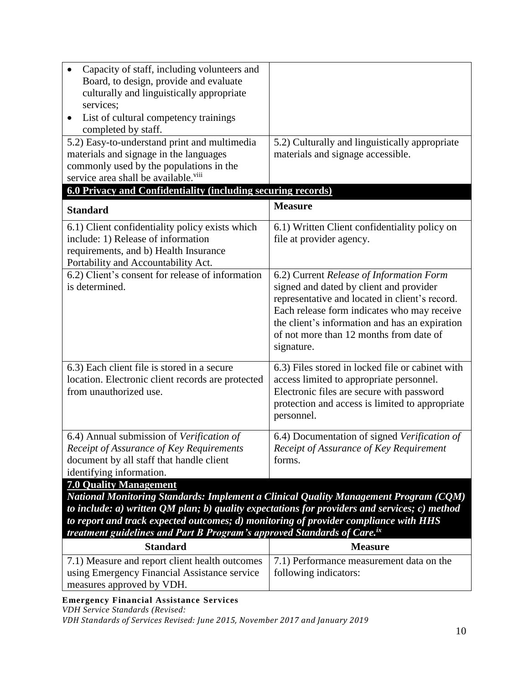| Capacity of staff, including volunteers and<br>Board, to design, provide and evaluate<br>culturally and linguistically appropriate<br>services;                                                                                                                                                                                                                                                             |                                                                                                                                                                                                                                                                                                 |  |
|-------------------------------------------------------------------------------------------------------------------------------------------------------------------------------------------------------------------------------------------------------------------------------------------------------------------------------------------------------------------------------------------------------------|-------------------------------------------------------------------------------------------------------------------------------------------------------------------------------------------------------------------------------------------------------------------------------------------------|--|
| List of cultural competency trainings<br>$\bullet$<br>completed by staff.                                                                                                                                                                                                                                                                                                                                   |                                                                                                                                                                                                                                                                                                 |  |
| 5.2) Easy-to-understand print and multimedia<br>materials and signage in the languages<br>commonly used by the populations in the<br>service area shall be available. <sup>viii</sup>                                                                                                                                                                                                                       | 5.2) Culturally and linguistically appropriate<br>materials and signage accessible.                                                                                                                                                                                                             |  |
| 6.0 Privacy and Confidentiality (including securing records)                                                                                                                                                                                                                                                                                                                                                |                                                                                                                                                                                                                                                                                                 |  |
| <b>Standard</b>                                                                                                                                                                                                                                                                                                                                                                                             | <b>Measure</b>                                                                                                                                                                                                                                                                                  |  |
| 6.1) Client confidentiality policy exists which<br>include: 1) Release of information<br>requirements, and b) Health Insurance<br>Portability and Accountability Act.                                                                                                                                                                                                                                       | 6.1) Written Client confidentiality policy on<br>file at provider agency.                                                                                                                                                                                                                       |  |
| 6.2) Client's consent for release of information<br>is determined.                                                                                                                                                                                                                                                                                                                                          | 6.2) Current Release of Information Form<br>signed and dated by client and provider<br>representative and located in client's record.<br>Each release form indicates who may receive<br>the client's information and has an expiration<br>of not more than 12 months from date of<br>signature. |  |
| 6.3) Each client file is stored in a secure<br>location. Electronic client records are protected<br>from unauthorized use.                                                                                                                                                                                                                                                                                  | 6.3) Files stored in locked file or cabinet with<br>access limited to appropriate personnel.<br>Electronic files are secure with password<br>protection and access is limited to appropriate<br>personnel.                                                                                      |  |
| 6.4) Annual submission of Verification of<br>Receipt of Assurance of Key Requirements<br>document by all staff that handle client<br>identifying information.                                                                                                                                                                                                                                               | 6.4) Documentation of signed Verification of<br>Receipt of Assurance of Key Requirement<br>forms.                                                                                                                                                                                               |  |
| <b>7.0 Quality Management</b><br>National Monitoring Standards: Implement a Clinical Quality Management Program (CQM)<br>to include: $a$ ) written QM plan; $b$ ) quality expectations for providers and services; c) method<br>to report and track expected outcomes; d) monitoring of provider compliance with HHS<br>treatment guidelines and Part B Program's approved Standards of Care. <sup>ix</sup> |                                                                                                                                                                                                                                                                                                 |  |
| <b>Standard</b>                                                                                                                                                                                                                                                                                                                                                                                             | <b>Measure</b>                                                                                                                                                                                                                                                                                  |  |
| 7.1) Measure and report client health outcomes<br>using Emergency Financial Assistance service<br>measures approved by VDH.                                                                                                                                                                                                                                                                                 | 7.1) Performance measurement data on the<br>following indicators:                                                                                                                                                                                                                               |  |

**Emergency Financial Assistance Services**

*VDH Service Standards (Revised:* 

*VDH Standards of Services Revised: June 2015, November 2017 and January 2019*